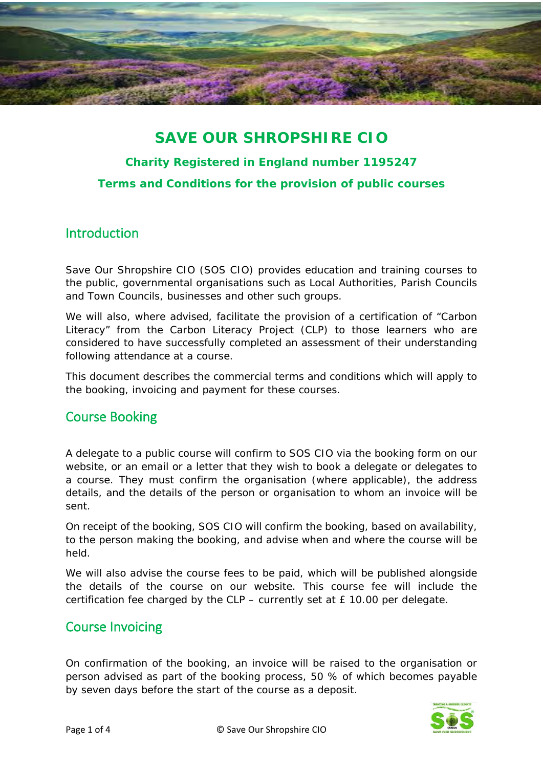

## **SAVE OUR SHROPSHIRE CIO**

# **Charity Registered in England number 1195247**

**Terms and Conditions for the provision of public courses**

### Introduction

Save Our Shropshire CIO (SOS CIO) provides education and training courses to the public, governmental organisations such as Local Authorities, Parish Councils and Town Councils, businesses and other such groups.

We will also, where advised, facilitate the provision of a certification of "Carbon Literacy" from the Carbon Literacy Project (CLP) to those learners who are considered to have successfully completed an assessment of their understanding following attendance at a course.

This document describes the commercial terms and conditions which will apply to the booking, invoicing and payment for these courses.

### Course Booking

A delegate to a public course will confirm to SOS CIO via the booking form on our website, or an email or a letter that they wish to book a delegate or delegates to a course. They must confirm the organisation (where applicable), the address details, and the details of the person or organisation to whom an invoice will be sent.

On receipt of the booking, SOS CIO will confirm the booking, based on availability, to the person making the booking, and advise when and where the course will be held.

We will also advise the course fees to be paid, which will be published alongside the details of the course on our website. This course fee will include the certification fee charged by the CLP – currently set at £ 10.00 per delegate.

### Course Invoicing

On confirmation of the booking, an invoice will be raised to the organisation or person advised as part of the booking process, 50 % of which becomes payable by seven days before the start of the course as a deposit.

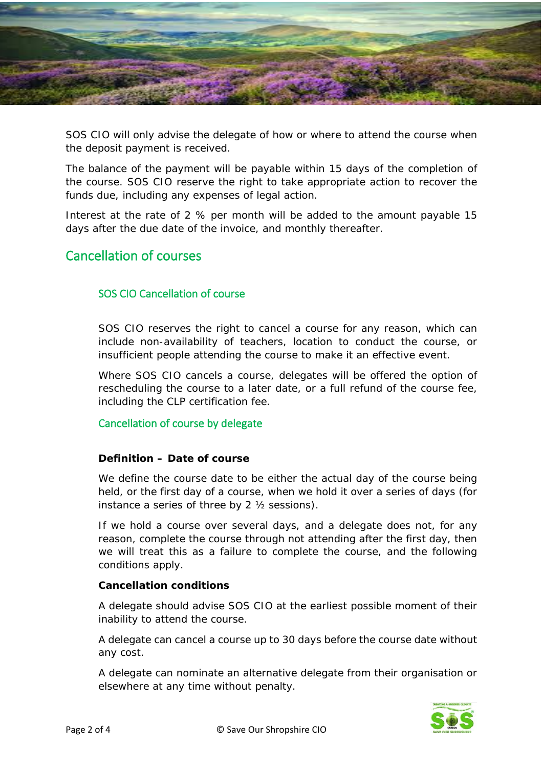

SOS CIO will only advise the delegate of how or where to attend the course when the deposit payment is received.

The balance of the payment will be payable within 15 days of the completion of the course. SOS CIO reserve the right to take appropriate action to recover the funds due, including any expenses of legal action.

Interest at the rate of 2 % per month will be added to the amount payable 15 days after the due date of the invoice, and monthly thereafter.

### Cancellation of courses

### SOS CIO Cancellation of course

SOS CIO reserves the right to cancel a course for any reason, which can include non-availability of teachers, location to conduct the course, or insufficient people attending the course to make it an effective event.

Where SOS CIO cancels a course, delegates will be offered the option of rescheduling the course to a later date, or a full refund of the course fee, including the CLP certification fee.

#### Cancellation of course by delegate

#### **Definition – Date of course**

We define the course date to be either the actual day of the course being held, or the first day of a course, when we hold it over a series of days (for instance a series of three by 2 ½ sessions).

If we hold a course over several days, and a delegate does not, for any reason, complete the course through not attending after the first day, then we will treat this as a failure to complete the course, and the following conditions apply.

#### **Cancellation conditions**

A delegate should advise SOS CIO at the earliest possible moment of their inability to attend the course.

A delegate can cancel a course up to 30 days before the course date without any cost.

A delegate can nominate an alternative delegate from their organisation or elsewhere at any time without penalty.

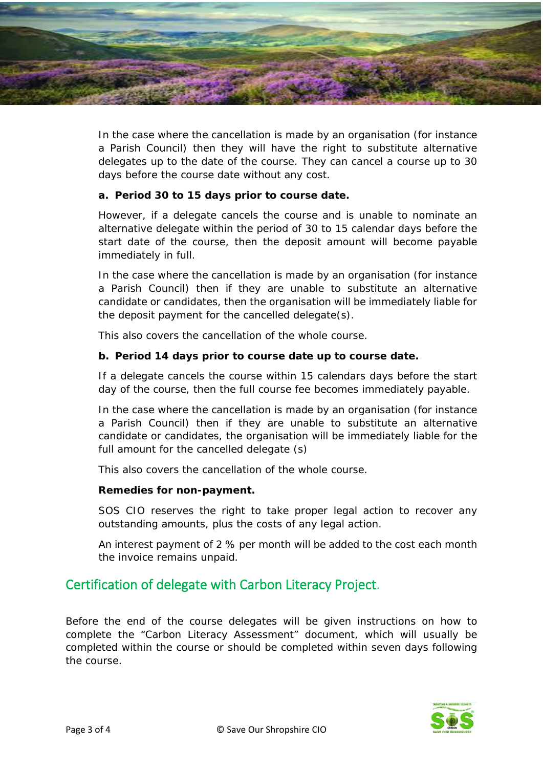

In the case where the cancellation is made by an organisation (for instance a Parish Council) then they will have the right to substitute alternative delegates up to the date of the course. They can cancel a course up to 30 days before the course date without any cost.

#### **a. Period 30 to 15 days prior to course date.**

However, if a delegate cancels the course and is unable to nominate an alternative delegate within the period of 30 to 15 calendar days before the start date of the course, then the deposit amount will become payable immediately in full.

In the case where the cancellation is made by an organisation (for instance a Parish Council) then if they are unable to substitute an alternative candidate or candidates, then the organisation will be immediately liable for the deposit payment for the cancelled delegate(s).

This also covers the cancellation of the whole course.

#### **b. Period 14 days prior to course date up to course date.**

If a delegate cancels the course within 15 calendars days before the start day of the course, then the full course fee becomes immediately payable.

In the case where the cancellation is made by an organisation (for instance a Parish Council) then if they are unable to substitute an alternative candidate or candidates, the organisation will be immediately liable for the full amount for the cancelled delegate (s)

This also covers the cancellation of the whole course.

#### **Remedies for non-payment.**

SOS CIO reserves the right to take proper legal action to recover any outstanding amounts, plus the costs of any legal action.

An interest payment of 2 % per month will be added to the cost each month the invoice remains unpaid.

### Certification of delegate with Carbon Literacy Project.

Before the end of the course delegates will be given instructions on how to complete the "Carbon Literacy Assessment" document, which will usually be completed within the course or should be completed within seven days following the course.